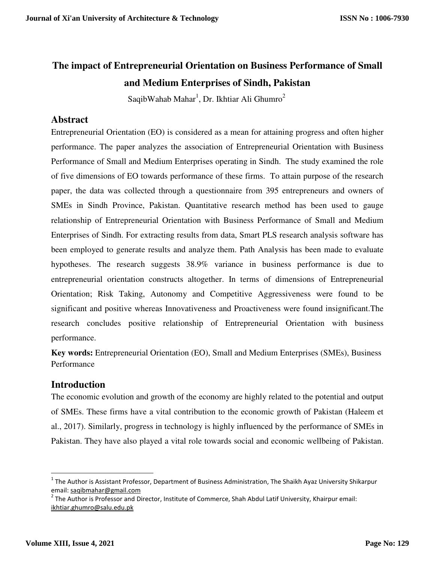# **The impact of Entrepreneurial Orientation on Business Performance of Small and Medium Enterprises of Sindh, Pakistan**

SaqibWahab Mahar<sup>1</sup>, Dr. Ikhtiar Ali Ghumro<sup>2</sup>

# **Abstract**

Entrepreneurial Orientation (EO) is considered as a mean for attaining progress and often higher performance. The paper analyzes the association of Entrepreneurial Orientation with Business Performance of Small and Medium Enterprises operating in Sindh. The study examined the role of five dimensions of EO towards performance of these firms. To attain purpose of the research paper, the data was collected through a questionnaire from 395 entrepreneurs and owners of SMEs in Sindh Province, Pakistan. Quantitative research method has been used to gauge relationship of Entrepreneurial Orientation with Business Performance of Small and Medium Enterprises of Sindh. For extracting results from data, Smart PLS research analysis software has been employed to generate results and analyze them. Path Analysis has been made to evaluate hypotheses. The research suggests 38.9% variance in business performance is due to entrepreneurial orientation constructs altogether. In terms of dimensions of Entrepreneurial Orientation; Risk Taking, Autonomy and Competitive Aggressiveness were found to be significant and positive whereas Innovativeness and Proactiveness were found insignificant.The research concludes positive relationship of Entrepreneurial Orientation with business performance.

**Key words:** Entrepreneurial Orientation (EO), Small and Medium Enterprises (SMEs), Business Performance

# **Introduction**

The economic evolution and growth of the economy are highly related to the potential and output of SMEs. These firms have a vital contribution to the economic growth of Pakistan (Haleem et al., 2017). Similarly, progress in technology is highly influenced by the performance of SMEs in Pakistan. They have also played a vital role towards social and economic wellbeing of Pakistan.

 $\overline{a}$ 

<sup>&</sup>lt;sup>1</sup> The Author is Assistant Professor, Department of Business Administration, The Shaikh Ayaz University Shikarpur email: saqibmahar@gmail.com

 $^2$  The Author is Professor and Director, Institute of Commerce, Shah Abdul Latif University, Khairpur email: ikhtiar.ghumro@salu.edu.pk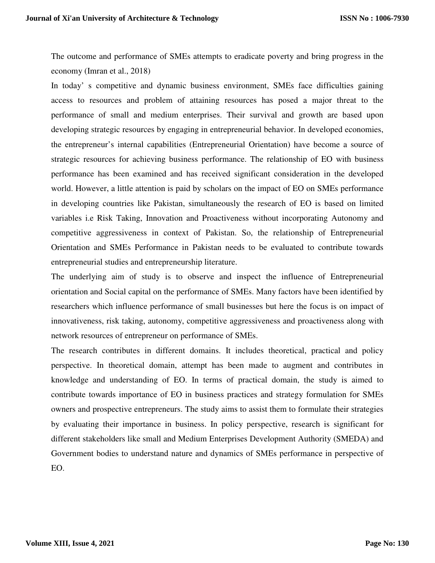The outcome and performance of SMEs attempts to eradicate poverty and bring progress in the economy (Imran et al., 2018)

In today' s competitive and dynamic business environment, SMEs face difficulties gaining access to resources and problem of attaining resources has posed a major threat to the performance of small and medium enterprises. Their survival and growth are based upon developing strategic resources by engaging in entrepreneurial behavior. In developed economies, the entrepreneur's internal capabilities (Entrepreneurial Orientation) have become a source of strategic resources for achieving business performance. The relationship of EO with business performance has been examined and has received significant consideration in the developed world. However, a little attention is paid by scholars on the impact of EO on SMEs performance in developing countries like Pakistan, simultaneously the research of EO is based on limited variables i.e Risk Taking, Innovation and Proactiveness without incorporating Autonomy and competitive aggressiveness in context of Pakistan. So, the relationship of Entrepreneurial Orientation and SMEs Performance in Pakistan needs to be evaluated to contribute towards entrepreneurial studies and entrepreneurship literature.

The underlying aim of study is to observe and inspect the influence of Entrepreneurial orientation and Social capital on the performance of SMEs. Many factors have been identified by researchers which influence performance of small businesses but here the focus is on impact of innovativeness, risk taking, autonomy, competitive aggressiveness and proactiveness along with network resources of entrepreneur on performance of SMEs.

The research contributes in different domains. It includes theoretical, practical and policy perspective. In theoretical domain, attempt has been made to augment and contributes in knowledge and understanding of EO. In terms of practical domain, the study is aimed to contribute towards importance of EO in business practices and strategy formulation for SMEs owners and prospective entrepreneurs. The study aims to assist them to formulate their strategies by evaluating their importance in business. In policy perspective, research is significant for different stakeholders like small and Medium Enterprises Development Authority (SMEDA) and Government bodies to understand nature and dynamics of SMEs performance in perspective of EO.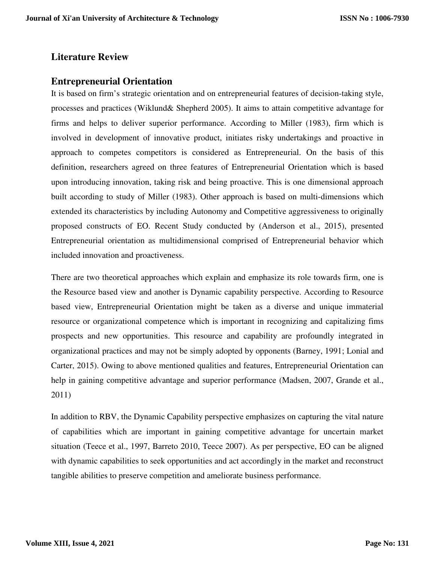# **Literature Review**

# **Entrepreneurial Orientation**

It is based on firm's strategic orientation and on entrepreneurial features of decision-taking style, processes and practices (Wiklund& Shepherd 2005). It aims to attain competitive advantage for firms and helps to deliver superior performance. According to Miller (1983), firm which is involved in development of innovative product, initiates risky undertakings and proactive in approach to competes competitors is considered as Entrepreneurial. On the basis of this definition, researchers agreed on three features of Entrepreneurial Orientation which is based upon introducing innovation, taking risk and being proactive. This is one dimensional approach built according to study of Miller (1983). Other approach is based on multi-dimensions which extended its characteristics by including Autonomy and Competitive aggressiveness to originally proposed constructs of EO. Recent Study conducted by (Anderson et al., 2015), presented Entrepreneurial orientation as multidimensional comprised of Entrepreneurial behavior which included innovation and proactiveness.

There are two theoretical approaches which explain and emphasize its role towards firm, one is the Resource based view and another is Dynamic capability perspective. According to Resource based view, Entrepreneurial Orientation might be taken as a diverse and unique immaterial resource or organizational competence which is important in recognizing and capitalizing fims prospects and new opportunities. This resource and capability are profoundly integrated in organizational practices and may not be simply adopted by opponents (Barney, 1991; Lonial and Carter, 2015). Owing to above mentioned qualities and features, Entrepreneurial Orientation can help in gaining competitive advantage and superior performance (Madsen, 2007, Grande et al., 2011)

In addition to RBV, the Dynamic Capability perspective emphasizes on capturing the vital nature of capabilities which are important in gaining competitive advantage for uncertain market situation (Teece et al., 1997, Barreto 2010, Teece 2007). As per perspective, EO can be aligned with dynamic capabilities to seek opportunities and act accordingly in the market and reconstruct tangible abilities to preserve competition and ameliorate business performance.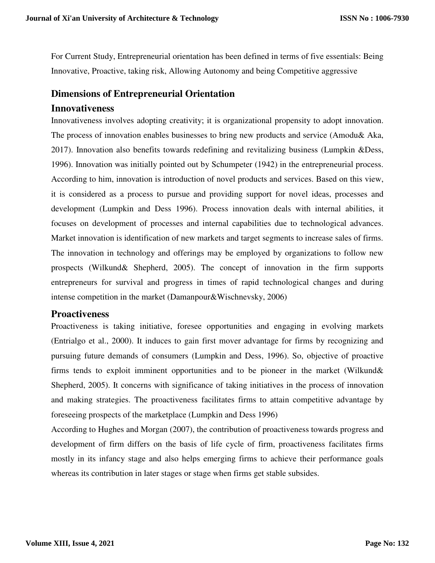For Current Study, Entrepreneurial orientation has been defined in terms of five essentials: Being Innovative, Proactive, taking risk, Allowing Autonomy and being Competitive aggressive

# **Dimensions of Entrepreneurial Orientation**

### **Innovativeness**

Innovativeness involves adopting creativity; it is organizational propensity to adopt innovation. The process of innovation enables businesses to bring new products and service (Amodu& Aka, 2017). Innovation also benefits towards redefining and revitalizing business (Lumpkin &Dess, 1996). Innovation was initially pointed out by Schumpeter (1942) in the entrepreneurial process. According to him, innovation is introduction of novel products and services. Based on this view, it is considered as a process to pursue and providing support for novel ideas, processes and development (Lumpkin and Dess 1996). Process innovation deals with internal abilities, it focuses on development of processes and internal capabilities due to technological advances. Market innovation is identification of new markets and target segments to increase sales of firms. The innovation in technology and offerings may be employed by organizations to follow new prospects (Wilkund& Shepherd, 2005). The concept of innovation in the firm supports entrepreneurs for survival and progress in times of rapid technological changes and during intense competition in the market (Damanpour&Wischnevsky, 2006)

# **Proactiveness**

Proactiveness is taking initiative, foresee opportunities and engaging in evolving markets (Entrialgo et al., 2000). It induces to gain first mover advantage for firms by recognizing and pursuing future demands of consumers (Lumpkin and Dess, 1996). So, objective of proactive firms tends to exploit imminent opportunities and to be pioneer in the market (Wilkund& Shepherd, 2005). It concerns with significance of taking initiatives in the process of innovation and making strategies. The proactiveness facilitates firms to attain competitive advantage by foreseeing prospects of the marketplace (Lumpkin and Dess 1996)

According to Hughes and Morgan (2007), the contribution of proactiveness towards progress and development of firm differs on the basis of life cycle of firm, proactiveness facilitates firms mostly in its infancy stage and also helps emerging firms to achieve their performance goals whereas its contribution in later stages or stage when firms get stable subsides.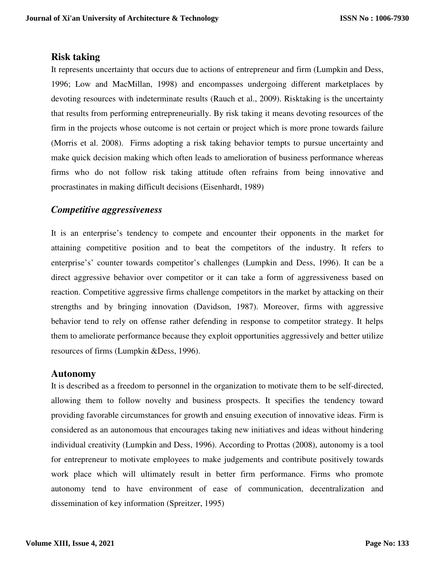# **Risk taking**

It represents uncertainty that occurs due to actions of entrepreneur and firm (Lumpkin and Dess, 1996; Low and MacMillan, 1998) and encompasses undergoing different marketplaces by devoting resources with indeterminate results (Rauch et al., 2009). Risktaking is the uncertainty that results from performing entrepreneurially. By risk taking it means devoting resources of the firm in the projects whose outcome is not certain or project which is more prone towards failure (Morris et al. 2008). Firms adopting a risk taking behavior tempts to pursue uncertainty and make quick decision making which often leads to amelioration of business performance whereas firms who do not follow risk taking attitude often refrains from being innovative and procrastinates in making difficult decisions (Eisenhardt, 1989)

# *Competitive aggressiveness*

It is an enterprise's tendency to compete and encounter their opponents in the market for attaining competitive position and to beat the competitors of the industry. It refers to enterprise's' counter towards competitor's challenges (Lumpkin and Dess, 1996). It can be a direct aggressive behavior over competitor or it can take a form of aggressiveness based on reaction. Competitive aggressive firms challenge competitors in the market by attacking on their strengths and by bringing innovation (Davidson, 1987). Moreover, firms with aggressive behavior tend to rely on offense rather defending in response to competitor strategy. It helps them to ameliorate performance because they exploit opportunities aggressively and better utilize resources of firms (Lumpkin &Dess, 1996).

# **Autonomy**

It is described as a freedom to personnel in the organization to motivate them to be self-directed, allowing them to follow novelty and business prospects. It specifies the tendency toward providing favorable circumstances for growth and ensuing execution of innovative ideas. Firm is considered as an autonomous that encourages taking new initiatives and ideas without hindering individual creativity (Lumpkin and Dess, 1996). According to Prottas (2008), autonomy is a tool for entrepreneur to motivate employees to make judgements and contribute positively towards work place which will ultimately result in better firm performance. Firms who promote autonomy tend to have environment of ease of communication, decentralization and dissemination of key information (Spreitzer, 1995)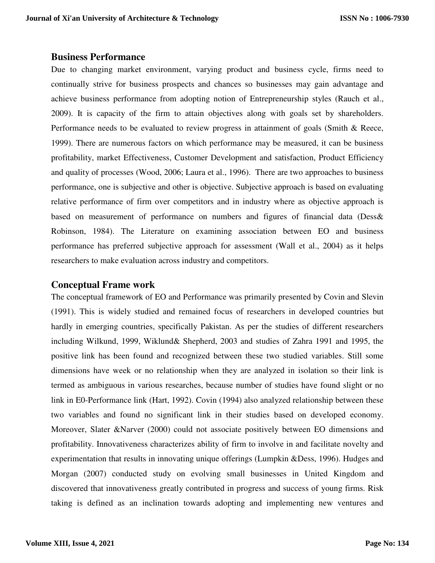### **Business Performance**

Due to changing market environment, varying product and business cycle, firms need to continually strive for business prospects and chances so businesses may gain advantage and achieve business performance from adopting notion of Entrepreneurship styles (Rauch et al., 2009). It is capacity of the firm to attain objectives along with goals set by shareholders. Performance needs to be evaluated to review progress in attainment of goals (Smith & Reece, 1999). There are numerous factors on which performance may be measured, it can be business profitability, market Effectiveness, Customer Development and satisfaction, Product Efficiency and quality of processes (Wood, 2006; Laura et al., 1996). There are two approaches to business performance, one is subjective and other is objective. Subjective approach is based on evaluating relative performance of firm over competitors and in industry where as objective approach is based on measurement of performance on numbers and figures of financial data (Dess& Robinson, 1984). The Literature on examining association between EO and business performance has preferred subjective approach for assessment (Wall et al., 2004) as it helps researchers to make evaluation across industry and competitors.

# **Conceptual Frame work**

The conceptual framework of EO and Performance was primarily presented by Covin and Slevin (1991). This is widely studied and remained focus of researchers in developed countries but hardly in emerging countries, specifically Pakistan. As per the studies of different researchers including Wilkund, 1999, Wiklund& Shepherd, 2003 and studies of Zahra 1991 and 1995, the positive link has been found and recognized between these two studied variables. Still some dimensions have week or no relationship when they are analyzed in isolation so their link is termed as ambiguous in various researches, because number of studies have found slight or no link in E0-Performance link (Hart, 1992). Covin (1994) also analyzed relationship between these two variables and found no significant link in their studies based on developed economy. Moreover, Slater &Narver (2000) could not associate positively between EO dimensions and profitability. Innovativeness characterizes ability of firm to involve in and facilitate novelty and experimentation that results in innovating unique offerings (Lumpkin &Dess, 1996). Hudges and Morgan (2007) conducted study on evolving small businesses in United Kingdom and discovered that innovativeness greatly contributed in progress and success of young firms. Risk taking is defined as an inclination towards adopting and implementing new ventures and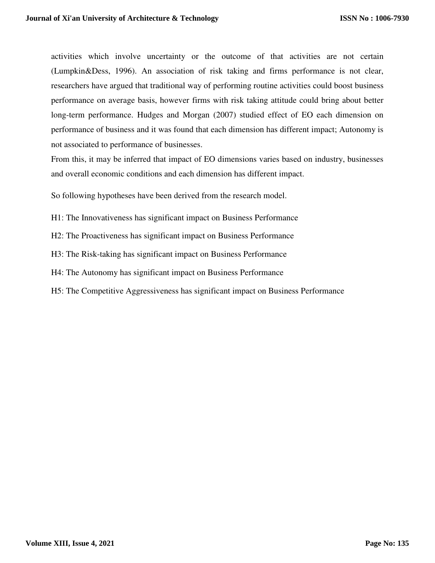activities which involve uncertainty or the outcome of that activities are not certain (Lumpkin&Dess, 1996). An association of risk taking and firms performance is not clear, researchers have argued that traditional way of performing routine activities could boost business performance on average basis, however firms with risk taking attitude could bring about better long-term performance. Hudges and Morgan (2007) studied effect of EO each dimension on performance of business and it was found that each dimension has different impact; Autonomy is not associated to performance of businesses.

From this, it may be inferred that impact of EO dimensions varies based on industry, businesses and overall economic conditions and each dimension has different impact.

So following hypotheses have been derived from the research model.

H1: The Innovativeness has significant impact on Business Performance

H2: The Proactiveness has significant impact on Business Performance

H3: The Risk-taking has significant impact on Business Performance

H4: The Autonomy has significant impact on Business Performance

H5: The Competitive Aggressiveness has significant impact on Business Performance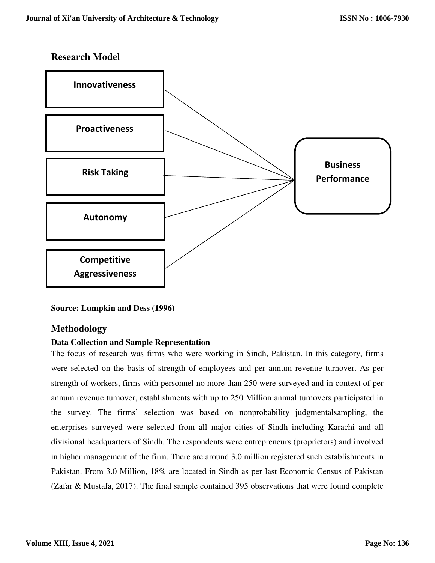# **Research Model**



**Source: Lumpkin and Dess (1996)** 

# **Methodology**

### **Data Collection and Sample Representation**

The focus of research was firms who were working in Sindh, Pakistan. In this category, firms were selected on the basis of strength of employees and per annum revenue turnover. As per strength of workers, firms with personnel no more than 250 were surveyed and in context of per annum revenue turnover, establishments with up to 250 Million annual turnovers participated in the survey. The firms' selection was based on nonprobability judgmentalsampling, the enterprises surveyed were selected from all major cities of Sindh including Karachi and all divisional headquarters of Sindh. The respondents were entrepreneurs (proprietors) and involved in higher management of the firm. There are around 3.0 million registered such establishments in Pakistan. From 3.0 Million, 18% are located in Sindh as per last Economic Census of Pakistan (Zafar & Mustafa, 2017). The final sample contained 395 observations that were found complete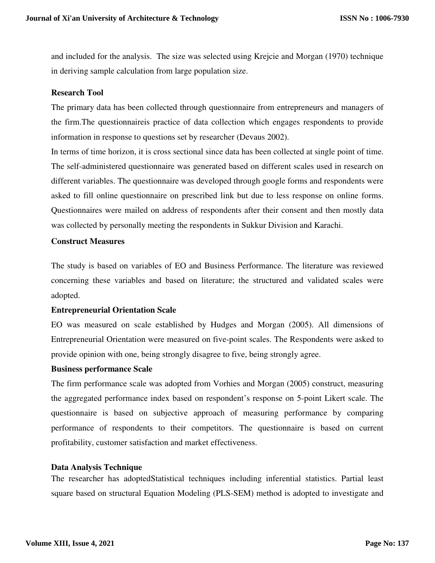and included for the analysis. The size was selected using Krejcie and Morgan (1970) technique in deriving sample calculation from large population size.

### **Research Tool**

The primary data has been collected through questionnaire from entrepreneurs and managers of the firm.The questionnaireis practice of data collection which engages respondents to provide information in response to questions set by researcher (Devaus 2002).

In terms of time horizon, it is cross sectional since data has been collected at single point of time. The self-administered questionnaire was generated based on different scales used in research on different variables. The questionnaire was developed through google forms and respondents were asked to fill online questionnaire on prescribed link but due to less response on online forms. Questionnaires were mailed on address of respondents after their consent and then mostly data was collected by personally meeting the respondents in Sukkur Division and Karachi.

#### **Construct Measures**

The study is based on variables of EO and Business Performance. The literature was reviewed concerning these variables and based on literature; the structured and validated scales were adopted.

### **Entrepreneurial Orientation Scale**

EO was measured on scale established by Hudges and Morgan (2005). All dimensions of Entrepreneurial Orientation were measured on five-point scales. The Respondents were asked to provide opinion with one, being strongly disagree to five, being strongly agree.

#### **Business performance Scale**

The firm performance scale was adopted from Vorhies and Morgan (2005) construct, measuring the aggregated performance index based on respondent's response on 5-point Likert scale. The questionnaire is based on subjective approach of measuring performance by comparing performance of respondents to their competitors. The questionnaire is based on current profitability, customer satisfaction and market effectiveness.

### **Data Analysis Technique**

The researcher has adoptedStatistical techniques including inferential statistics. Partial least square based on structural Equation Modeling (PLS-SEM) method is adopted to investigate and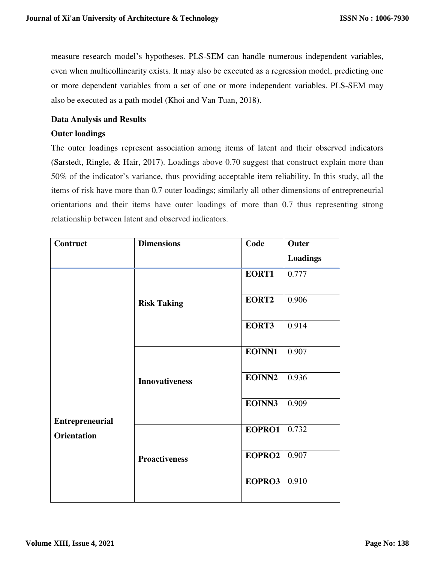measure research model's hypotheses. PLS-SEM can handle numerous independent variables, even when multicollinearity exists. It may also be executed as a regression model, predicting one or more dependent variables from a set of one or more independent variables. PLS-SEM may also be executed as a path model (Khoi and Van Tuan, 2018).

### **Data Analysis and Results**

### **Outer loadings**

The outer loadings represent association among items of latent and their observed indicators (Sarstedt, Ringle, & Hair, 2017). Loadings above 0.70 suggest that construct explain more than 50% of the indicator's variance, thus providing acceptable item reliability. In this study, all the items of risk have more than 0.7 outer loadings; similarly all other dimensions of entrepreneurial orientations and their items have outer loadings of more than 0.7 thus representing strong relationship between latent and observed indicators.

| Contruct                                     | <b>Dimensions</b>     | Code   | Outer           |
|----------------------------------------------|-----------------------|--------|-----------------|
|                                              |                       |        | <b>Loadings</b> |
|                                              |                       | EORT1  | 0.777           |
|                                              | <b>Risk Taking</b>    | EORT2  | 0.906           |
|                                              |                       | EORT3  | 0.914           |
|                                              |                       | EOINN1 | 0.907           |
| <b>Entrepreneurial</b><br><b>Orientation</b> | <b>Innovativeness</b> | EOINN2 | 0.936           |
|                                              |                       | EOINN3 | 0.909           |
|                                              |                       | EOPRO1 | 0.732           |
|                                              | <b>Proactiveness</b>  | EOPRO2 | 0.907           |
|                                              |                       | EOPRO3 | 0.910           |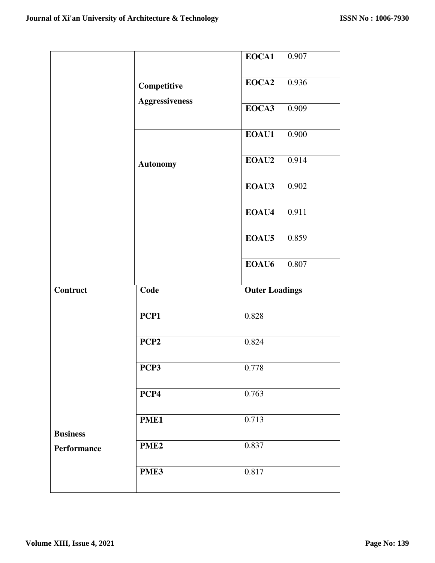|                                |                       | EOCA1                 | 0.907 |
|--------------------------------|-----------------------|-----------------------|-------|
|                                | Competitive           | EOCA2                 | 0.936 |
|                                | <b>Aggressiveness</b> | EOCA3                 | 0.909 |
|                                |                       | EOAU1                 | 0.900 |
|                                | <b>Autonomy</b>       | EOAU2                 | 0.914 |
|                                |                       | EOAU3                 | 0.902 |
|                                |                       | EOAU4                 | 0.911 |
|                                |                       | EOAU5                 | 0.859 |
|                                |                       | EOAU <sub>6</sub>     | 0.807 |
|                                |                       |                       |       |
| Contruct                       | Code                  | <b>Outer Loadings</b> |       |
|                                | PCP1                  | 0.828                 |       |
|                                | PCP <sub>2</sub>      | 0.824                 |       |
|                                | PCP3                  | 0.778                 |       |
|                                | PCP4                  | 0.763                 |       |
|                                | PME1                  | 0.713                 |       |
| <b>Business</b><br>Performance | PME <sub>2</sub>      | 0.837                 |       |
|                                | PME3                  | 0.817                 |       |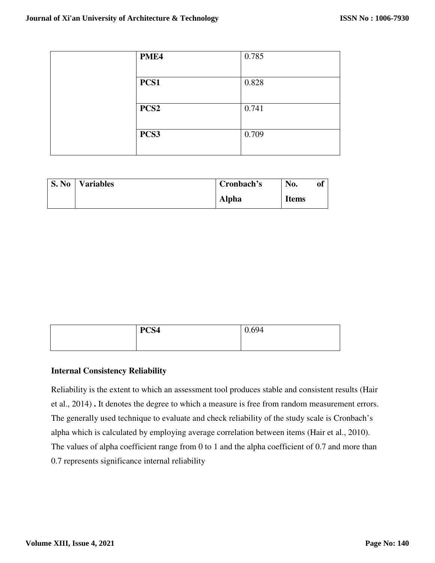| PME4             | 0.785 |
|------------------|-------|
| PCS1             | 0.828 |
| PCS <sub>2</sub> | 0.741 |
| PCS3             | 0.709 |

| <b>S. No</b> | <b>Variables</b> | Cronbach's   | No.          | of |
|--------------|------------------|--------------|--------------|----|
|              |                  | <b>Alpha</b> | <b>Items</b> |    |

| PCS4 | 0.694 |
|------|-------|
|      |       |

### **Internal Consistency Reliability**

Reliability is the extent to which an assessment tool produces stable and consistent results (Hair et al., 2014) **.** It denotes the degree to which a measure is free from random measurement errors. The generally used technique to evaluate and check reliability of the study scale is Cronbach's alpha which is calculated by employing average correlation between items (Hair et al., 2010). The values of alpha coefficient range from 0 to 1 and the alpha coefficient of 0.7 and more than 0.7 represents significance internal reliability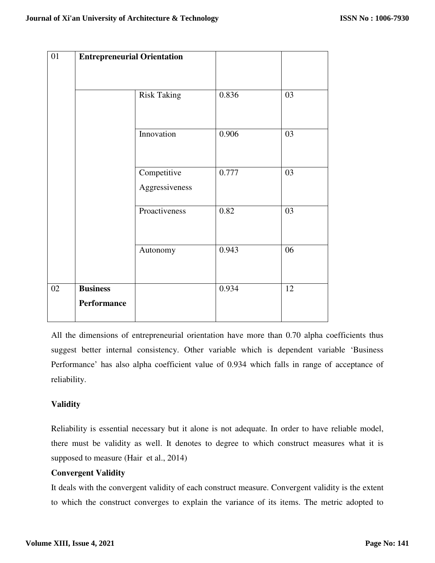|                 | <b>Entrepreneurial Orientation</b> |       |    |
|-----------------|------------------------------------|-------|----|
|                 | <b>Risk Taking</b>                 | 0.836 | 03 |
|                 | Innovation                         | 0.906 | 03 |
|                 | Competitive<br>Aggressiveness      | 0.777 | 03 |
|                 | Proactiveness                      | 0.82  | 03 |
|                 | Autonomy                           | 0.943 | 06 |
| <b>Business</b> |                                    | 0.934 | 12 |

All the dimensions of entrepreneurial orientation have more than 0.70 alpha coefficients thus suggest better internal consistency. Other variable which is dependent variable 'Business Performance' has also alpha coefficient value of 0.934 which falls in range of acceptance of reliability.

# **Validity**

Reliability is essential necessary but it alone is not adequate. In order to have reliable model, there must be validity as well. It denotes to degree to which construct measures what it is supposed to measure (Hair et al., 2014)

# **Convergent Validity**

It deals with the convergent validity of each construct measure. Convergent validity is the extent to which the construct converges to explain the variance of its items. The metric adopted to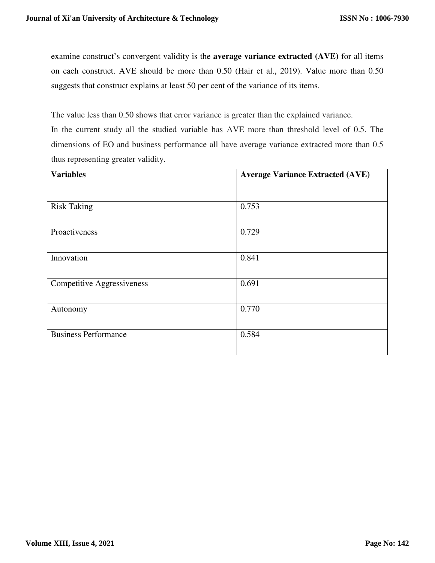examine construct's convergent validity is the **average variance extracted (AVE)** for all items on each construct. AVE should be more than 0.50 (Hair et al., 2019). Value more than 0.50 suggests that construct explains at least 50 per cent of the variance of its items.

The value less than 0.50 shows that error variance is greater than the explained variance. In the current study all the studied variable has AVE more than threshold level of 0.5. The dimensions of EO and business performance all have average variance extracted more than 0.5 thus representing greater validity.

| <b>Variables</b>                  | <b>Average Variance Extracted (AVE)</b> |  |  |
|-----------------------------------|-----------------------------------------|--|--|
|                                   |                                         |  |  |
| <b>Risk Taking</b>                | 0.753                                   |  |  |
| Proactiveness                     | 0.729                                   |  |  |
| Innovation                        | 0.841                                   |  |  |
| <b>Competitive Aggressiveness</b> | 0.691                                   |  |  |
| Autonomy                          | 0.770                                   |  |  |
| <b>Business Performance</b>       | 0.584                                   |  |  |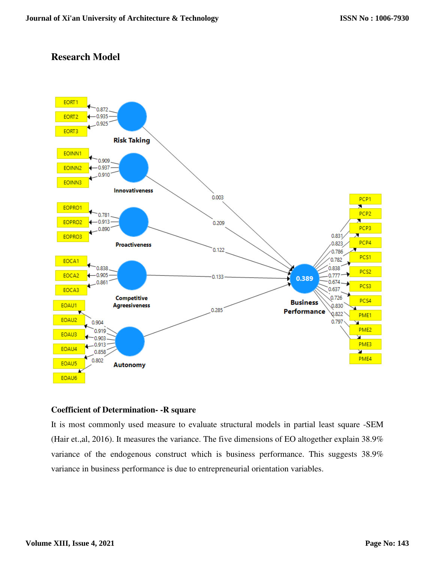# **Research Model**



### **Coefficient of Determination- -R square**

It is most commonly used measure to evaluate structural models in partial least square -SEM (Hair et.,al, 2016). It measures the variance. The five dimensions of EO altogether explain 38.9% variance of the endogenous construct which is business performance. This suggests 38.9% variance in business performance is due to entrepreneurial orientation variables.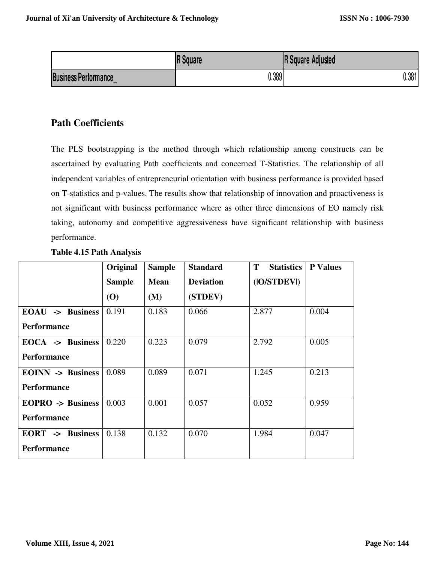|                                  | <b>IR Square</b> | <b>R</b> Square Adjusted |
|----------------------------------|------------------|--------------------------|
| <b>Business Performance</b><br>- | 0.389            | J.381                    |

# **Path Coefficients**

The PLS bootstrapping is the method through which relationship among constructs can be ascertained by evaluating Path coefficients and concerned T-Statistics. The relationship of all independent variables of entrepreneurial orientation with business performance is provided based on T-statistics and p-values. The results show that relationship of innovation and proactiveness is not significant with business performance where as other three dimensions of EO namely risk taking, autonomy and competitive aggressiveness have significant relationship with business performance.

|                          | Original      | <b>Sample</b> | <b>Standard</b>  | T<br><b>Statistics</b> | <b>P</b> Values |
|--------------------------|---------------|---------------|------------------|------------------------|-----------------|
|                          | <b>Sample</b> | <b>Mean</b>   | <b>Deviation</b> | ( O/STDEV )            |                 |
|                          | (O)           | (M)           | (STDEV)          |                        |                 |
| EOAU -> Business         | 0.191         | 0.183         | 0.066            | 2.877                  | 0.004           |
| <b>Performance</b>       |               |               |                  |                        |                 |
| EOCA -> Business         | 0.220         | 0.223         | 0.079            | 2.792                  | 0.005           |
| <b>Performance</b>       |               |               |                  |                        |                 |
| <b>EOINN</b> -> Business | 0.089         | 0.089         | 0.071            | 1.245                  | 0.213           |
| <b>Performance</b>       |               |               |                  |                        |                 |
| <b>EOPRO</b> -> Business | 0.003         | 0.001         | 0.057            | 0.052                  | 0.959           |
| <b>Performance</b>       |               |               |                  |                        |                 |
| <b>EORT</b> -> Business  | 0.138         | 0.132         | 0.070            | 1.984                  | 0.047           |
| <b>Performance</b>       |               |               |                  |                        |                 |

# **Table 4.15 Path Analysis**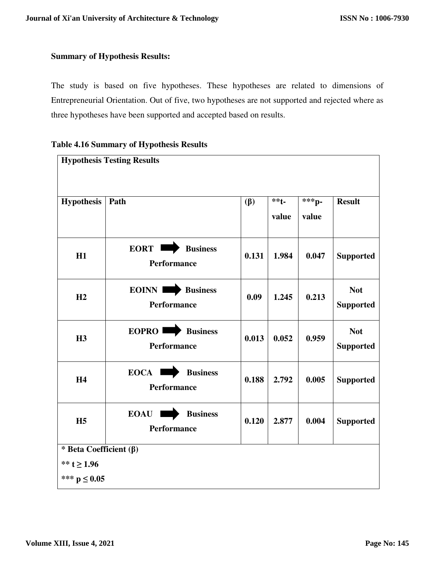### **Summary of Hypothesis Results:**

The study is based on five hypotheses. These hypotheses are related to dimensions of Entrepreneurial Orientation. Out of five, two hypotheses are not supported and rejected where as three hypotheses have been supported and accepted based on results.

### **Table 4.16 Summary of Hypothesis Results**

| <b>Hypothesis Testing Results</b>                                   |                                                      |           |                  |                |                                |
|---------------------------------------------------------------------|------------------------------------------------------|-----------|------------------|----------------|--------------------------------|
| <b>Hypothesis</b>                                                   | Path                                                 | $(\beta)$ | $***t-$<br>value | ***p-<br>value | <b>Result</b>                  |
| H1                                                                  | <b>EORT</b><br><b>Business</b><br><b>Performance</b> | 0.131     | 1.984            | 0.047          | <b>Supported</b>               |
| H2                                                                  | EOINN I<br><b>Business</b><br>Performance            | 0.09      | 1.245            | 0.213          | <b>Not</b><br><b>Supported</b> |
| <b>H3</b>                                                           | <b>EOPRO</b><br><b>Business</b><br>Performance       | 0.013     | 0.052            | 0.959          | <b>Not</b><br><b>Supported</b> |
| <b>H4</b>                                                           | EOCA  <br><b>Business</b><br>Performance             | 0.188     | 2.792            | 0.005          | <b>Supported</b>               |
| H <sub>5</sub>                                                      | <b>EOAU</b><br><b>Business</b><br>Performance        | 0.120     | 2.877            | 0.004          | <b>Supported</b>               |
| * Beta Coefficient $(\beta)$<br>** $t \ge 1.96$<br>*** $p \le 0.05$ |                                                      |           |                  |                |                                |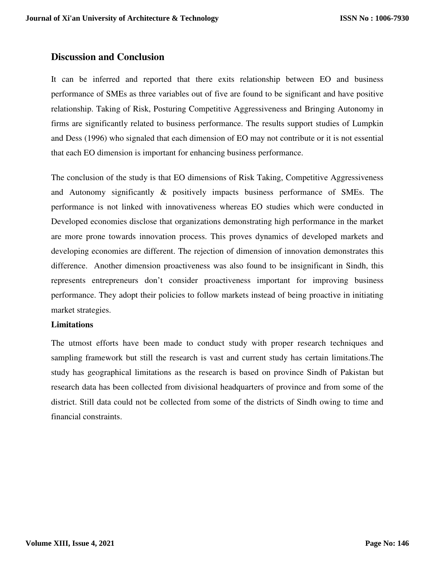# **Discussion and Conclusion**

It can be inferred and reported that there exits relationship between EO and business performance of SMEs as three variables out of five are found to be significant and have positive relationship. Taking of Risk, Posturing Competitive Aggressiveness and Bringing Autonomy in firms are significantly related to business performance. The results support studies of Lumpkin and Dess (1996) who signaled that each dimension of EO may not contribute or it is not essential that each EO dimension is important for enhancing business performance.

The conclusion of the study is that EO dimensions of Risk Taking, Competitive Aggressiveness and Autonomy significantly & positively impacts business performance of SMEs. The performance is not linked with innovativeness whereas EO studies which were conducted in Developed economies disclose that organizations demonstrating high performance in the market are more prone towards innovation process. This proves dynamics of developed markets and developing economies are different. The rejection of dimension of innovation demonstrates this difference. Another dimension proactiveness was also found to be insignificant in Sindh, this represents entrepreneurs don't consider proactiveness important for improving business performance. They adopt their policies to follow markets instead of being proactive in initiating market strategies.

### **Limitations**

The utmost efforts have been made to conduct study with proper research techniques and sampling framework but still the research is vast and current study has certain limitations.The study has geographical limitations as the research is based on province Sindh of Pakistan but research data has been collected from divisional headquarters of province and from some of the district. Still data could not be collected from some of the districts of Sindh owing to time and financial constraints.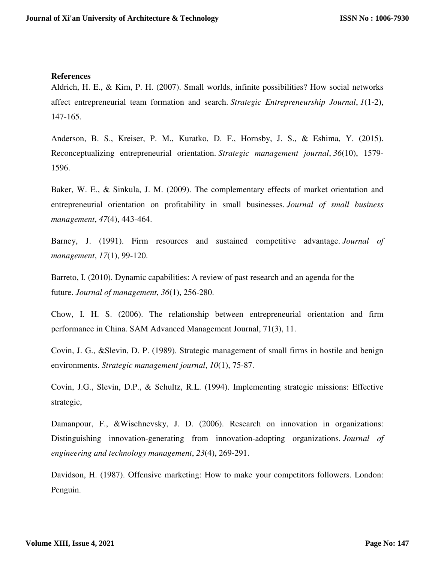### **References**

Aldrich, H. E., & Kim, P. H. (2007). Small worlds, infinite possibilities? How social networks affect entrepreneurial team formation and search. *Strategic Entrepreneurship Journal*, *1*(1‐2), 147-165.

Anderson, B. S., Kreiser, P. M., Kuratko, D. F., Hornsby, J. S., & Eshima, Y. (2015). Reconceptualizing entrepreneurial orientation. *Strategic management journal*, *36*(10), 1579- 1596.

Baker, W. E., & Sinkula, J. M. (2009). The complementary effects of market orientation and entrepreneurial orientation on profitability in small businesses. *Journal of small business management*, *47*(4), 443-464.

Barney, J. (1991). Firm resources and sustained competitive advantage. *Journal of management*, *17*(1), 99-120.

Barreto, I. (2010). Dynamic capabilities: A review of past research and an agenda for the future. *Journal of management*, *36*(1), 256-280.

Chow, I. H. S. (2006). The relationship between entrepreneurial orientation and firm performance in China. SAM Advanced Management Journal, 71(3), 11.

Covin, J. G., &Slevin, D. P. (1989). Strategic management of small firms in hostile and benign environments. *Strategic management journal*, *10*(1), 75-87.

Covin, J.G., Slevin, D.P., & Schultz, R.L. (1994). Implementing strategic missions: Effective strategic,

Damanpour, F., &Wischnevsky, J. D. (2006). Research on innovation in organizations: Distinguishing innovation-generating from innovation-adopting organizations. *Journal of engineering and technology management*, *23*(4), 269-291.

Davidson, H. (1987). Offensive marketing: How to make your competitors followers. London: Penguin.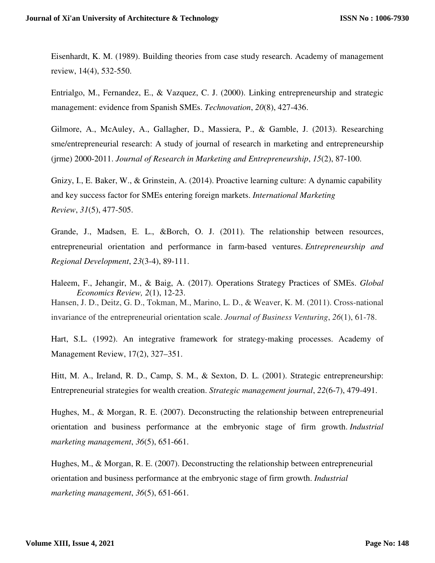Eisenhardt, K. M. (1989). Building theories from case study research. Academy of management review, 14(4), 532-550.

Entrialgo, M., Fernandez, E., & Vazquez, C. J. (2000). Linking entrepreneurship and strategic management: evidence from Spanish SMEs. *Technovation*, *20*(8), 427-436.

Gilmore, A., McAuley, A., Gallagher, D., Massiera, P., & Gamble, J. (2013). Researching sme/entrepreneurial research: A study of journal of research in marketing and entrepreneurship (jrme) 2000-2011. *Journal of Research in Marketing and Entrepreneurship*, *15*(2), 87-100.

Gnizy, I., E. Baker, W., & Grinstein, A. (2014). Proactive learning culture: A dynamic capability and key success factor for SMEs entering foreign markets. *International Marketing Review*, *31*(5), 477-505.

Grande, J., Madsen, E. L., &Borch, O. J. (2011). The relationship between resources, entrepreneurial orientation and performance in farm-based ventures. *Entrepreneurship and Regional Development*, *23*(3-4), 89-111.

Haleem, F., Jehangir, M., & Baig, A. (2017). Operations Strategy Practices of SMEs. *Global Economics Review, 2*(1), 12-23. Hansen, J. D., Deitz, G. D., Tokman, M., Marino, L. D., & Weaver, K. M. (2011). Cross-national invariance of the entrepreneurial orientation scale. *Journal of Business Venturing*, *26*(1), 61-78.

Hart, S.L. (1992). An integrative framework for strategy-making processes. Academy of Management Review, 17(2), 327–351.

Hitt, M. A., Ireland, R. D., Camp, S. M., & Sexton, D. L. (2001). Strategic entrepreneurship: Entrepreneurial strategies for wealth creation. *Strategic management journal*, *22*(6‐7), 479-491.

Hughes, M., & Morgan, R. E. (2007). Deconstructing the relationship between entrepreneurial orientation and business performance at the embryonic stage of firm growth. *Industrial marketing management*, *36*(5), 651-661.

Hughes, M., & Morgan, R. E. (2007). Deconstructing the relationship between entrepreneurial orientation and business performance at the embryonic stage of firm growth. *Industrial marketing management*, *36*(5), 651-661.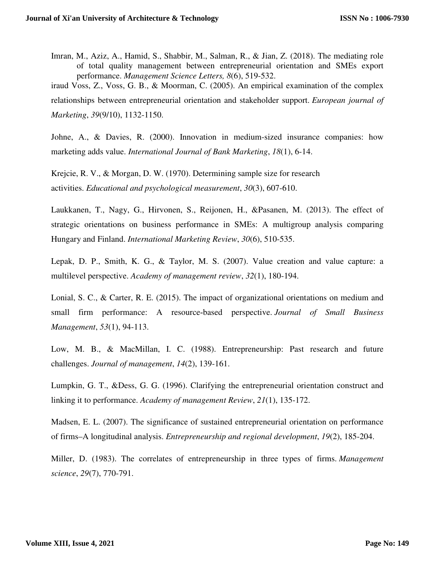Imran, M., Aziz, A., Hamid, S., Shabbir, M., Salman, R., & Jian, Z. (2018). The mediating role of total quality management between entrepreneurial orientation and SMEs export performance. *Management Science Letters, 8*(6), 519-532.

iraud Voss, Z., Voss, G. B., & Moorman, C. (2005). An empirical examination of the complex relationships between entrepreneurial orientation and stakeholder support. *European journal of Marketing*, *39*(9/10), 1132-1150.

Johne, A., & Davies, R. (2000). Innovation in medium-sized insurance companies: how marketing adds value. *International Journal of Bank Marketing*, *18*(1), 6-14.

Krejcie, R. V., & Morgan, D. W. (1970). Determining sample size for research activities. *Educational and psychological measurement*, *30*(3), 607-610.

Laukkanen, T., Nagy, G., Hirvonen, S., Reijonen, H., &Pasanen, M. (2013). The effect of strategic orientations on business performance in SMEs: A multigroup analysis comparing Hungary and Finland. *International Marketing Review*, *30*(6), 510-535.

Lepak, D. P., Smith, K. G., & Taylor, M. S. (2007). Value creation and value capture: a multilevel perspective. *Academy of management review*, *32*(1), 180-194.

Lonial, S. C., & Carter, R. E. (2015). The impact of organizational orientations on medium and small firm performance: A resource-based perspective. *Journal of Small Business Management*, *53*(1), 94-113.

Low, M. B., & MacMillan, I. C. (1988). Entrepreneurship: Past research and future challenges. *Journal of management*, *14*(2), 139-161.

Lumpkin, G. T., &Dess, G. G. (1996). Clarifying the entrepreneurial orientation construct and linking it to performance. *Academy of management Review*, *21*(1), 135-172.

Madsen, E. L. (2007). The significance of sustained entrepreneurial orientation on performance of firms–A longitudinal analysis. *Entrepreneurship and regional development*, *19*(2), 185-204.

Miller, D. (1983). The correlates of entrepreneurship in three types of firms. *Management science*, *29*(7), 770-791.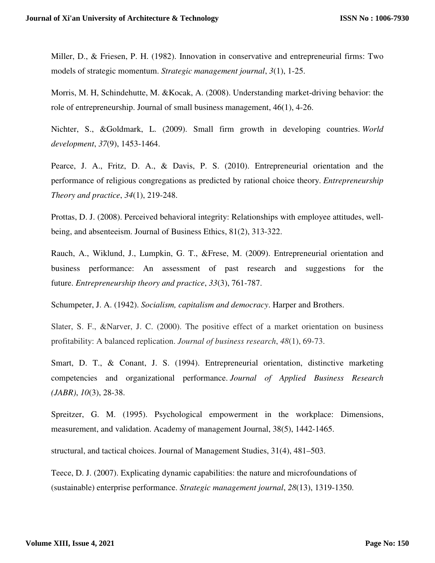Miller, D., & Friesen, P. H. (1982). Innovation in conservative and entrepreneurial firms: Two models of strategic momentum. *Strategic management journal*, *3*(1), 1-25.

Morris, M. H, Schindehutte, M. &Kocak, A. (2008). Understanding market‐driving behavior: the role of entrepreneurship. Journal of small business management, 46(1), 4-26.

Nichter, S., &Goldmark, L. (2009). Small firm growth in developing countries. *World development*, *37*(9), 1453-1464.

Pearce, J. A., Fritz, D. A., & Davis, P. S. (2010). Entrepreneurial orientation and the performance of religious congregations as predicted by rational choice theory. *Entrepreneurship Theory and practice*, *34*(1), 219-248.

Prottas, D. J. (2008). Perceived behavioral integrity: Relationships with employee attitudes, wellbeing, and absenteeism. Journal of Business Ethics, 81(2), 313-322.

Rauch, A., Wiklund, J., Lumpkin, G. T., &Frese, M. (2009). Entrepreneurial orientation and business performance: An assessment of past research and suggestions for the future. *Entrepreneurship theory and practice*, *33*(3), 761-787.

Schumpeter, J. A. (1942). *Socialism, capitalism and democracy*. Harper and Brothers.

Slater, S. F., &Narver, J. C. (2000). The positive effect of a market orientation on business profitability: A balanced replication. *Journal of business research*, *48*(1), 69-73.

Smart, D. T., & Conant, J. S. (1994). Entrepreneurial orientation, distinctive marketing competencies and organizational performance. *Journal of Applied Business Research (JABR)*, *10*(3), 28-38.

Spreitzer, G. M. (1995). Psychological empowerment in the workplace: Dimensions, measurement, and validation. Academy of management Journal, 38(5), 1442-1465.

structural, and tactical choices. Journal of Management Studies, 31(4), 481–503.

Teece, D. J. (2007). Explicating dynamic capabilities: the nature and microfoundations of (sustainable) enterprise performance. *Strategic management journal*, *28*(13), 1319-1350.